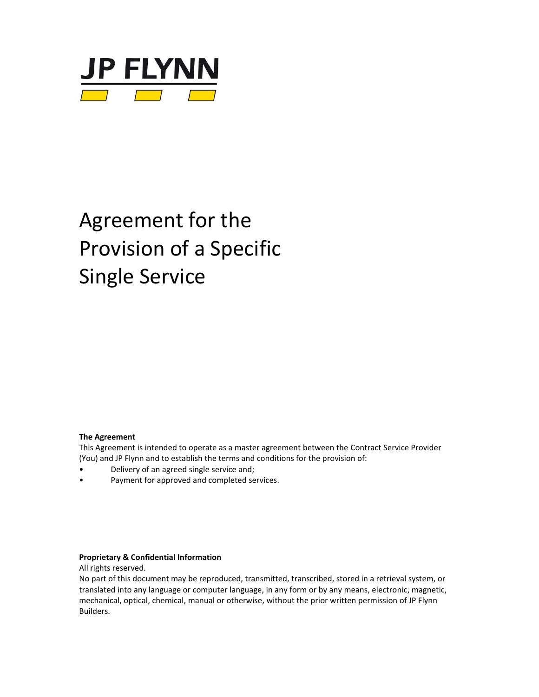

# Agreement for the Provision of a Specific Single Service

#### **The Agreement**

This Agreement is intended to operate as a master agreement between the Contract Service Provider (You) and JP Flynn and to establish the terms and conditions for the provision of:

- Delivery of an agreed single service and;
- Payment for approved and completed services.

#### **Proprietary & Confidential Information**

All rights reserved.

No part of this document may be reproduced, transmitted, transcribed, stored in a retrieval system, or translated into any language or computer language, in any form or by any means, electronic, magnetic, mechanical, optical, chemical, manual or otherwise, without the prior written permission of JP Flynn Builders.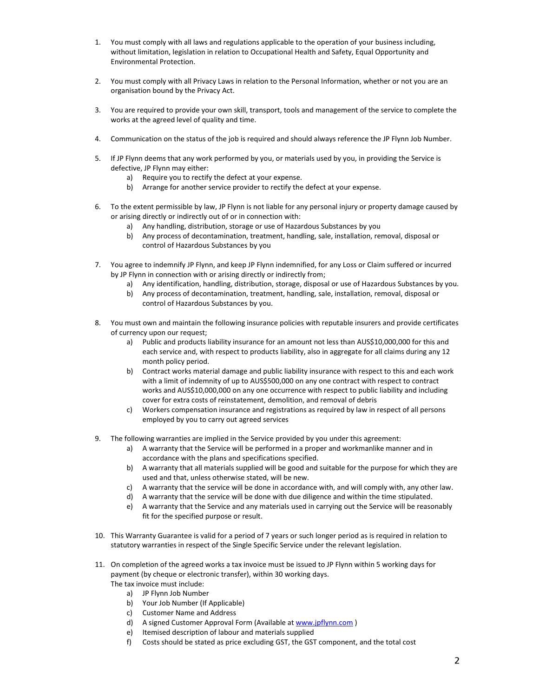- 1. You must comply with all laws and regulations applicable to the operation of your business including, without limitation, legislation in relation to Occupational Health and Safety, Equal Opportunity and Environmental Protection.
- 2. You must comply with all Privacy Laws in relation to the Personal Information, whether or not you are an organisation bound by the Privacy Act.
- 3. You are required to provide your own skill, transport, tools and management of the service to complete the works at the agreed level of quality and time.
- 4. Communication on the status of the job is required and should always reference the JP Flynn Job Number.
- 5. If JP Flynn deems that any work performed by you, or materials used by you, in providing the Service is defective, JP Flynn may either:
	- a) Require you to rectify the defect at your expense.
	- b) Arrange for another service provider to rectify the defect at your expense.
- 6. To the extent permissible by law, JP Flynn is not liable for any personal injury or property damage caused by or arising directly or indirectly out of or in connection with:
	- a) Any handling, distribution, storage or use of Hazardous Substances by you
	- b) Any process of decontamination, treatment, handling, sale, installation, removal, disposal or control of Hazardous Substances by you
- 7. You agree to indemnify JP Flynn, and keep JP Flynn indemnified, for any Loss or Claim suffered or incurred by JP Flynn in connection with or arising directly or indirectly from;
	- a) Any identification, handling, distribution, storage, disposal or use of Hazardous Substances by you.
	- b) Any process of decontamination, treatment, handling, sale, installation, removal, disposal or control of Hazardous Substances by you.
- 8. You must own and maintain the following insurance policies with reputable insurers and provide certificates of currency upon our request;
	- a) Public and products liability insurance for an amount not less than AUS\$10,000,000 for this and each service and, with respect to products liability, also in aggregate for all claims during any 12 month policy period.
	- b) Contract works material damage and public liability insurance with respect to this and each work with a limit of indemnity of up to AUS\$500,000 on any one contract with respect to contract works and AUS\$10,000,000 on any one occurrence with respect to public liability and including cover for extra costs of reinstatement, demolition, and removal of debris
	- c) Workers compensation insurance and registrations as required by law in respect of all persons employed by you to carry out agreed services
- 9. The following warranties are implied in the Service provided by you under this agreement:
	- a) A warranty that the Service will be performed in a proper and workmanlike manner and in accordance with the plans and specifications specified.
	- b) A warranty that all materials supplied will be good and suitable for the purpose for which they are used and that, unless otherwise stated, will be new.
	- c) A warranty that the service will be done in accordance with, and will comply with, any other law.
	- d) A warranty that the service will be done with due diligence and within the time stipulated.
	- e) A warranty that the Service and any materials used in carrying out the Service will be reasonably fit for the specified purpose or result.
- 10. This Warranty Guarantee is valid for a period of 7 years or such longer period as is required in relation to statutory warranties in respect of the Single Specific Service under the relevant legislation.
- 11. On completion of the agreed works a tax invoice must be issued to JP Flynn within 5 working days for payment (by cheque or electronic transfer), within 30 working days.
	- The tax invoice must include:
		- a) JP Flynn Job Number
		- b) Your Job Number (If Applicable)
		- c) Customer Name and Address
		- d) A signed Customer Approval Form (Available a[t www.jpflynn.com](http://www.jpflynn.com/) )
		- e) Itemised description of labour and materials supplied
		- f) Costs should be stated as price excluding GST, the GST component, and the total cost